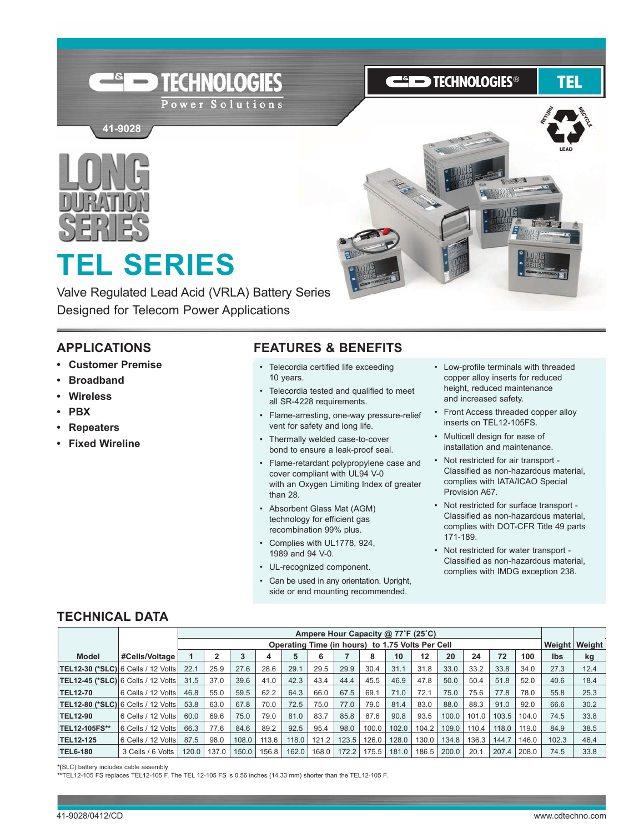

**ESIED TECHNOLOGIES®** 

## TEL



41-9028 **41-9028**

# **TEL SERIES**

Valve Regulated Lead Acid (VRLA) Battery Series Designed for Telecom Power Applications

#### **APPLICATIOnS**

- **Customer Premise**
- **Broadband**
- **Wireless**
- **PBX**
- **Repeaters**
- **Fixed Wireline**

#### **FEATURES & BEnEFITS**

- Telecordia certified life exceeding 10 years.
- Telecordia tested and qualified to meet all SR-4228 requirements.
- Flame-arresting, one-way pressure-relief vent for safety and long life.
- Thermally welded case-to-cover bond to ensure a leak-proof seal.
- Flame-retardant polypropylene case and cover compliant with UL94 V-0 with an Oxygen Limiting Index of greater than 28.
- Absorbent Glass Mat (AGM) technology for efficient gas recombination 99% plus.
- Complies with UL1778, 924, 1989 and 94 V-0.
- UL-recognized component.
- Can be used in any orientation. Upright, side or end mounting recommended.
- Low-profile terminals with threaded copper alloy inserts for reduced height, reduced maintenance and increased safety.
- Front Access threaded copper alloy inserts on TEL12-105FS.
- Multicell design for ease of installation and maintenance.
- Not restricted for air transport -Classified as non-hazardous material, complies with IATA/ICAo Special provision A67.
- Not restricted for surface transport -Classified as non-hazardous material, complies with DoT-CFR Title 49 parts 171-189.
- Not restricted for water transport -Classified as non-hazardous material, complies with IMDG exception 238.

#### **TECHnICAL DATA**

|                                           |                        |       |       |       |       |       |       |       |       | Ampere Hour Capacity @ 77°F (25°C)               |       |       |       |       |       |            |        |
|-------------------------------------------|------------------------|-------|-------|-------|-------|-------|-------|-------|-------|--------------------------------------------------|-------|-------|-------|-------|-------|------------|--------|
|                                           |                        |       |       |       |       |       |       |       |       | Operating Time (in hours) to 1.75 Volts Per Cell |       |       |       |       |       | Weight     | Weight |
| <b>Model</b>                              | #Cells/Voltage         |       |       | 3     | 4     | 5     | 6     |       | 8     | 10                                               | 12    | 20    | 24    | 72    | 100   | <b>Ibs</b> | kg     |
| <b>TEL12-30 (*SLC)</b> 6 Cells / 12 Volts |                        | 22.1  | 25.9  | 27.6  | 28.6  | 29.1  | 29.5  | 29.9  | 30.4  | 31.1                                             | 31.8  | 33.0  | 33.2  | 33.8  | 34.0  | 27.3       | 12.4   |
| TEL12-45 (*SLC)  6 Cells / 12 Volts       |                        | 31.5  | 37.0  | 39.6  | 41.0  | 42.3  | 43.4  | 44.4  | 45.5  | 46.9                                             | 47.8  | 50.0  | 50.4  | 51.8  | 52.0  | 40.6       | 18.4   |
| <b>TEL12-70</b>                           | 6 Cells / 12 Volts     | 46.8  | 55.0  | 59.5  | 62.2  | 64.3  | 66.0  | 67.5  | 69.1  | 71.0                                             | 72.1  | 75.0  | 75.6  | 77.8  | 78.0  | 55.8       | 25.3   |
| <b>TEL12-80 (*SLC)</b> 6 Cells / 12 Volts |                        | 53.8  | 63.0  | 67.8  | 70.0  | 72.5  | 75.0  | 77.0  | 79.0  | 81.4                                             | 83.0  | 88.0  | 88.3  | 91.0  | 92.0  | 66.6       | 30.2   |
| <b>TEL12-90</b>                           | l 6 Cells / 12 Volts l | 60.0  | 69.6  | 75.0  | 79.0  | 81.0  | 83.7  | 85.8  | 87.6  | 90.8                                             | 93.5  | 100.0 | 101.0 | 103.5 | 104.0 | 74.5       | 33.8   |
| <b>TEL12-105FS**</b>                      | 6 Cells / 12 Volts     | 66.3  | 77.6  | 84.6  | 89.2  | 92.5  | 95.4  | 98.0  | 100.0 | 102.0                                            | 104.2 | 109.0 | 110.4 | 118.0 | 119.0 | 84.9       | 38.5   |
| <b>TEL12-125</b>                          | 6 Cells / 12 Volts     | 87.5  | 98.0  | 108.0 | 113.6 | 118.0 | 121.2 | 123.5 | 126.0 | 128.0                                            | 130.0 | 134.8 | 136.3 | 144.7 | 146.0 | 102.3      | 46.4   |
| <b>TEL6-180</b>                           | 3 Cells / 6 Volts      | 120.0 | 137.0 | 150.0 | 156.8 | 162.0 | 168.0 | 172.2 | 175.5 | 181.0                                            | 186.5 | 200.0 | 20.1  | 207.4 | 208.0 | 74.5       | 33.8   |

**\*(**SLC) battery includes cable assembly **\*\***TEL12-105 FS replaces TEL12-105 F. The TEL 12-105 FS is 0.56 inches (14.33 mm) shorter than the TEL12-105 F.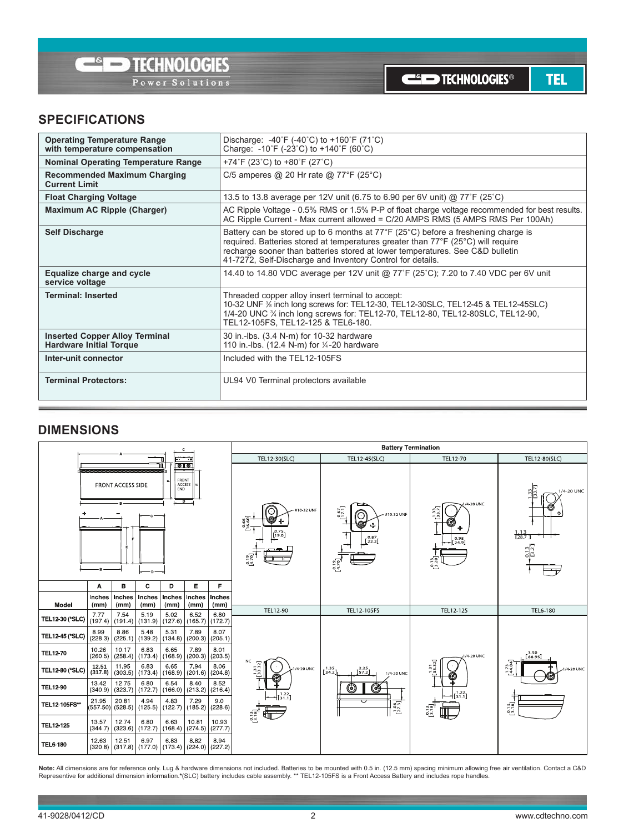**TEL** 

#### **SPECIFICATIOnS**

| <b>Operating Temperature Range</b><br>with temperature compensation     | Discharge: $-40^{\circ}F$ ( $-40^{\circ}C$ ) to $+160^{\circ}F$ (71 $^{\circ}C$ )<br>Charge: -10°F (-23°C) to +140°F (60°C)                                                                                                                                                                                                                |
|-------------------------------------------------------------------------|--------------------------------------------------------------------------------------------------------------------------------------------------------------------------------------------------------------------------------------------------------------------------------------------------------------------------------------------|
| <b>Nominal Operating Temperature Range</b>                              | +74°F (23°C) to +80°F (27°C)                                                                                                                                                                                                                                                                                                               |
| <b>Recommended Maximum Charging</b><br><b>Current Limit</b>             | C/5 amperes @ 20 Hr rate @ 77°F (25°C)                                                                                                                                                                                                                                                                                                     |
| <b>Float Charging Voltage</b>                                           | 13.5 to 13.8 average per 12V unit (6.75 to 6.90 per 6V unit) @ 77°F (25°C)                                                                                                                                                                                                                                                                 |
| <b>Maximum AC Ripple (Charger)</b>                                      | AC Ripple Voltage - 0.5% RMS or 1.5% P-P of float charge voltage recommended for best results.<br>AC Ripple Current - Max current allowed = C/20 AMPS RMS (5 AMPS RMS Per 100Ah)                                                                                                                                                           |
| <b>Self Discharge</b>                                                   | Battery can be stored up to 6 months at $77^{\circ}F$ (25 <sup>o</sup> C) before a freshening charge is<br>required. Batteries stored at temperatures greater than 77°F (25°C) will require<br>recharge sooner than batteries stored at lower temperatures. See C&D bulletin<br>41-7272, Self-Discharge and Inventory Control for details. |
| Equalize charge and cycle<br>service voltage                            | 14.40 to 14.80 VDC average per 12V unit @ 77°F (25°C); 7.20 to 7.40 VDC per 6V unit                                                                                                                                                                                                                                                        |
| <b>Terminal: Inserted</b>                                               | Threaded copper alloy insert terminal to accept:<br>10-32 UNF % inch long screws for: TEL12-30, TEL12-30SLC, TEL12-45 & TEL12-45SLC)<br>1/4-20 UNC % inch long screws for: TEL12-70, TEL12-80, TEL12-80SLC, TEL12-90,<br>TEL12-105FS, TEL12-125 & TEL6-180.                                                                                |
| <b>Inserted Copper Alloy Terminal</b><br><b>Hardware Initial Torque</b> | 30 in -lbs. (3.4 N-m) for 10-32 hardware<br>110 in.-lbs. (12.4 N-m) for 1/4-20 hardware                                                                                                                                                                                                                                                    |
| Inter-unit connector                                                    | Included with the TFI 12-105FS                                                                                                                                                                                                                                                                                                             |
| <b>Terminal Protectors:</b>                                             | UL94 V0 Terminal protectors available                                                                                                                                                                                                                                                                                                      |

#### **DIMEnSIOnS**



Note: All dimensions are for reference only. Lug & hardware dimensions not included. Batteries to be mounted with 0.5 in. (12.5 mm) spacing minimum allowing free air ventilation. Contact a C&D<br>Representive for additional d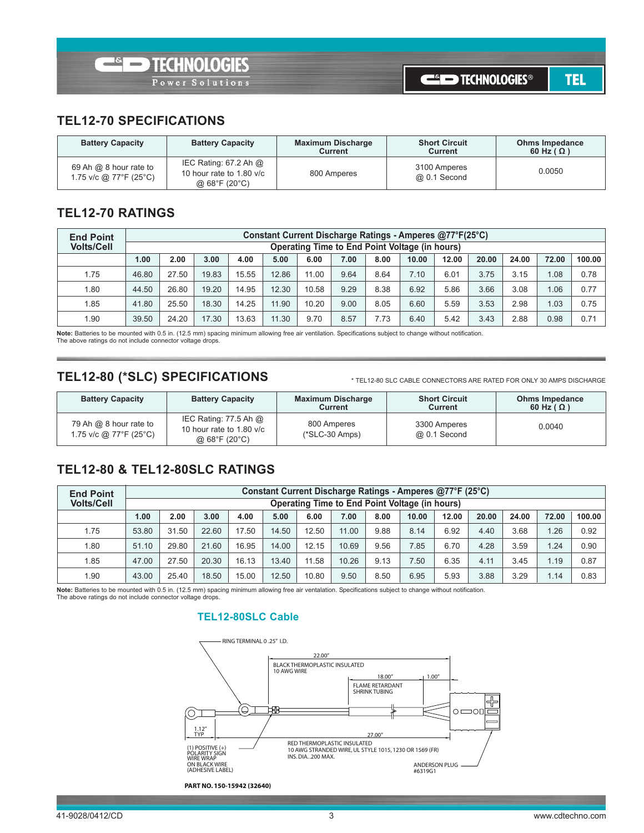#### **TEL12-70 SPECIFICATIOnS**

| <b>Battery Capacity</b>                          | <b>Battery Capacity</b>                                                                   | <b>Maximum Discharge</b><br><b>Current</b> | <b>Short Circuit</b><br>Current | <b>Ohms Impedance</b><br>60 Hz ( $\Omega$ ) |
|--------------------------------------------------|-------------------------------------------------------------------------------------------|--------------------------------------------|---------------------------------|---------------------------------------------|
| 69 Ah @ 8 hour rate to<br>1.75 v/c @ 77°F (25°C) | IEC Rating: 67.2 Ah @<br>10 hour rate to 1.80 $v/c$<br>@ $68^{\circ}$ F (20 $^{\circ}$ C) | 800 Amperes                                | 3100 Amperes<br>@ 0.1 Second    | 0.0050                                      |

#### **TEL12-70 RATIngS**

| <b>End Point</b>  |       | Constant Current Discharge Ratings - Amperes @77°F(25°C) |       |       |       |                                                |      |      |       |       |       |       |       |        |  |
|-------------------|-------|----------------------------------------------------------|-------|-------|-------|------------------------------------------------|------|------|-------|-------|-------|-------|-------|--------|--|
| <b>Volts/Cell</b> |       |                                                          |       |       |       | Operating Time to End Point Voltage (in hours) |      |      |       |       |       |       |       |        |  |
|                   | 1.00  | 2.00                                                     | 3.00  | 4.00  | 5.00  | 6.00                                           | 7.00 | 8.00 | 10.00 | 12.00 | 20.00 | 24.00 | 72.00 | 100.00 |  |
| 1.75              | 46.80 | 27.50                                                    | 19.83 | 15.55 | 12.86 | 11.00                                          | 9.64 | 8.64 | 7.10  | 6.01  | 3.75  | 3.15  | 1.08  | 0.78   |  |
| 1.80              | 44.50 | 26.80                                                    | 19.20 | 14.95 | 12.30 | 10.58                                          | 9.29 | 8.38 | 6.92  | 5.86  | 3.66  | 3.08  | 1.06  | 0.77   |  |
| 1.85              | 41.80 | 25.50                                                    | 18.30 | 14.25 | 11.90 | 10.20                                          | 9.00 | 8.05 | 6.60  | 5.59  | 3.53  | 2.98  | 1.03  | 0.75   |  |
| 1.90              | 39.50 | 24.20                                                    | 17.30 | 13.63 | 11.30 | 9.70                                           | 8.57 | 7.73 | 6.40  | 5.42  | 3.43  | 2.88  | 0.98  | 0.71   |  |

**note:** batteries to be mounted with 0.5 in. (12.5 mm) spacing minimum allowing free air ventilation. Specifications subject to change without notification. The above ratings do not include connector voltage drops.

#### **TEL12-80 (\*SLC) SPECIFICATIOnS**

\* TEL12-80 SLC CAbLE ConnECToRS ARE RATED FoR onLY 30 AmpS DISChARgE

| <b>Battery Capacity</b>                            | <b>Battery Capacity</b>                                                                   | <b>Maximum Discharge</b><br>Current | <b>Short Circuit</b><br>Current | <b>Ohms Impedance</b><br>60 Hz ( $\Omega$ ) |
|----------------------------------------------------|-------------------------------------------------------------------------------------------|-------------------------------------|---------------------------------|---------------------------------------------|
| 79 Ah $@$ 8 hour rate to<br>1.75 v/c @ 77°F (25°C) | IEC Rating: 77.5 Ah $@$<br>10 hour rate to 1.80 v/c<br>@ $68^{\circ}$ F (20 $^{\circ}$ C) | 800 Amperes<br>$(*SLC-30 Amps)$     | 3300 Amperes<br>@ 0.1 Second    | 0.0040                                      |

#### **TEL12-80 & TEL12-80SLC RATIngS**

| <b>End Point</b>  |       | Constant Current Discharge Ratings - Amperes @77°F (25°C) |       |       |       |       |       |      |                                                |       |       |       |       |        |  |
|-------------------|-------|-----------------------------------------------------------|-------|-------|-------|-------|-------|------|------------------------------------------------|-------|-------|-------|-------|--------|--|
| <b>Volts/Cell</b> |       |                                                           |       |       |       |       |       |      | Operating Time to End Point Voltage (in hours) |       |       |       |       |        |  |
|                   | 1.00  | 2.00                                                      | 3.00  | 4.00  | 5.00  | 6.00  | 7.00  | 8.00 | 10.00                                          | 12.00 | 20.00 | 24.00 | 72.00 | 100.00 |  |
| 1.75              | 53.80 | 31.50                                                     | 22.60 | 17.50 | 14.50 | 12.50 | 11.00 | 9.88 | 8.14                                           | 6.92  | 4.40  | 3.68  | 1.26  | 0.92   |  |
| 1.80              | 51.10 | 29.80                                                     | 21.60 | 16.95 | 14.00 | 12.15 | 10.69 | 9.56 | 7.85                                           | 6.70  | 4.28  | 3.59  | 1.24  | 0.90   |  |
| 1.85              | 47.00 | 27.50                                                     | 20.30 | 16.13 | 13.40 | 11.58 | 10.26 | 9.13 | 7.50                                           | 6.35  | 4.11  | 3.45  | 1.19  | 0.87   |  |
| 1.90              | 43.00 | 25.40                                                     | 18.50 | 15.00 | 12.50 | 10.80 | 9.50  | 8.50 | 6.95                                           | 5.93  | 3.88  | 3.29  | 1.14  | 0.83   |  |

**Note:** Batteries to be mounted with 0.5 in. (12.5 mm) spacing minimum allowing free air ventalation. Specifications subject to change without notification.<br>The above ratings do not include connector voltage drops.

#### **TEL12-80SLC Cable**

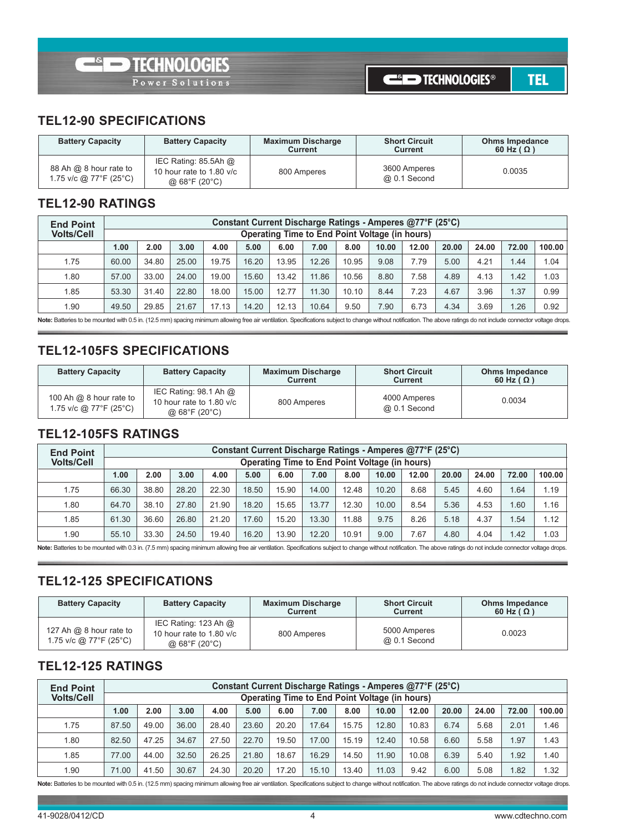**TEL** 

#### **TEL12-90 SPECIFICATIOnS**

| <b>Battery Capacity</b>                          | <b>Battery Capacity</b>                                                | <b>Maximum Discharge</b><br><b>Current</b> | <b>Short Circuit</b><br>Current | <b>Ohms Impedance</b><br>60 Hz ( $\Omega$ ) |
|--------------------------------------------------|------------------------------------------------------------------------|--------------------------------------------|---------------------------------|---------------------------------------------|
| 88 Ah @ 8 hour rate to<br>1.75 v/c @ 77°F (25°C) | IEC Rating: $85.5$ Ah $@$<br>10 hour rate to 1.80 v/c<br>@ 68°F (20°C) | 800 Amperes                                | 3600 Amperes<br>@ 0.1 Second    | 0.0035                                      |

#### **TEL12-90 RATIngS**

| <b>End Point</b>  |       | Constant Current Discharge Ratings - Amperes @77°F (25°C) |       |       |       |       |                                                |       |       |       |       |       |       |        |  |
|-------------------|-------|-----------------------------------------------------------|-------|-------|-------|-------|------------------------------------------------|-------|-------|-------|-------|-------|-------|--------|--|
| <b>Volts/Cell</b> |       |                                                           |       |       |       |       | Operating Time to End Point Voltage (in hours) |       |       |       |       |       |       |        |  |
|                   | 1.00  | 2.00                                                      | 3.00  | 4.00  | 5.00  | 6.00  | 7.00                                           | 8.00  | 10.00 | 12.00 | 20.00 | 24.00 | 72.00 | 100.00 |  |
| 1.75              | 60.00 | 34.80                                                     | 25.00 | 19.75 | 16.20 | 13.95 | 12.26                                          | 10.95 | 9.08  | 7.79  | 5.00  | 4.21  | 1.44  | 1.04   |  |
| 1.80              | 57.00 | 33.00                                                     | 24.00 | 19.00 | 15.60 | 13.42 | 11.86                                          | 10.56 | 8.80  | 7.58  | 4.89  | 4.13  | 1.42  | 1.03   |  |
| 1.85              | 53.30 | 31.40                                                     | 22.80 | 18.00 | 15.00 | 12.77 | 11.30                                          | 10.10 | 8.44  | 7.23  | 4.67  | 3.96  | 1.37  | 0.99   |  |
| 1.90              | 49.50 | 29.85                                                     | 21.67 | 17.13 | 14.20 | 12.13 | 10.64                                          | 9.50  | 7.90  | 6.73  | 4.34  | 3.69  | 1.26  | 0.92   |  |

Note: Batteries to be mounted with 0.5 in. (12.5 mm) spacing minimum allowing free air ventilation. Specifications subject to change without notification. The above ratings do not include connector voltage drops.

#### **TEL12-105FS SPECIFICATIOnS**

| <b>Battery Capacity</b>                             | <b>Battery Capacity</b>                                                              | <b>Maximum Discharge</b><br>Current | <b>Short Circuit</b><br>Current | <b>Ohms Impedance</b><br>60 Hz ( $\Omega$ ) |
|-----------------------------------------------------|--------------------------------------------------------------------------------------|-------------------------------------|---------------------------------|---------------------------------------------|
| 100 Ah $@$ 8 hour rate to<br>1.75 v/c @ 77°F (25°C) | IEC Rating: $98.1$ Ah $@$<br>10 hour rate to 1.80 v/c<br>$@68^{\circ}F(20^{\circ}C)$ | 800 Amperes                         | 4000 Amperes<br>@ 0.1 Second    | 0.0034                                      |

#### **TEL12-105FS RATIngS**

| <b>End Point</b>  |       | Constant Current Discharge Ratings - Amperes @77°F (25°C) |       |       |       |                                                |       |       |       |       |       |       |       |        |  |
|-------------------|-------|-----------------------------------------------------------|-------|-------|-------|------------------------------------------------|-------|-------|-------|-------|-------|-------|-------|--------|--|
| <b>Volts/Cell</b> |       |                                                           |       |       |       | Operating Time to End Point Voltage (in hours) |       |       |       |       |       |       |       |        |  |
|                   | 1.00  | 2.00                                                      | 3.00  | 4.00  | 5.00  | 6.00                                           | 7.00  | 8.00  | 10.00 | 12.00 | 20.00 | 24.00 | 72.00 | 100.00 |  |
| 1.75              | 66.30 | 38.80                                                     | 28.20 | 22.30 | 18.50 | 15.90                                          | 14.00 | 12.48 | 10.20 | 8.68  | 5.45  | 4.60  | 1.64  | 1.19   |  |
| 1.80              | 64.70 | 38.10                                                     | 27.80 | 21.90 | 18.20 | 15.65                                          | 13.77 | 12.30 | 10.00 | 8.54  | 5.36  | 4.53  | 1.60  | 1.16   |  |
| 1.85              | 61.30 | 36.60                                                     | 26.80 | 21.20 | 17.60 | 15.20                                          | 13.30 | 11.88 | 9.75  | 8.26  | 5.18  | 4.37  | 1.54  | 1.12   |  |
| 1.90              | 55.10 | 33.30                                                     | 24.50 | 19.40 | 16.20 | 13.90                                          | 12.20 | 10.91 | 9.00  | 7.67  | 4.80  | 4.04  | 1.42  | 1.03   |  |

Note: Batteries to be mounted with 0.3 in. (7.5 mm) spacing minimum allowing free air ventilation. Specifications subject to change without notification. The above ratings do not include connector voltage drops.

#### **TEL12-125 SPECIFICATIOnS**

| <b>Battery Capacity</b>                             | <b>Battery Capacity</b>                                                                  | <b>Maximum Discharge</b><br><b>Current</b> | <b>Short Circuit</b><br>Current | <b>Ohms Impedance</b><br>60 Hz ( $\Omega$ ) |
|-----------------------------------------------------|------------------------------------------------------------------------------------------|--------------------------------------------|---------------------------------|---------------------------------------------|
| 127 Ah @ $8$ hour rate to<br>1.75 v/c @ 77°F (25°C) | IEC Rating: 123 Ah $@$<br>10 hour rate to 1.80 v/c<br>@ $68^{\circ}$ F (20 $^{\circ}$ C) | 800 Amperes                                | 5000 Amperes<br>@ 0.1 Second    | 0.0023                                      |

#### **TEL12-125 RATIngS**

| <b>End Point</b>  |       | Constant Current Discharge Ratings - Amperes @77°F (25°C) |       |       |       |       |                                                |       |       |       |       |       |       |        |  |
|-------------------|-------|-----------------------------------------------------------|-------|-------|-------|-------|------------------------------------------------|-------|-------|-------|-------|-------|-------|--------|--|
| <b>Volts/Cell</b> |       |                                                           |       |       |       |       | Operating Time to End Point Voltage (in hours) |       |       |       |       |       |       |        |  |
|                   | 1.00  | 2.00                                                      | 3.00  | 4.00  | 5.00  | 6.00  | 7.00                                           | 8.00  | 10.00 | 12.00 | 20.00 | 24.00 | 72.00 | 100.00 |  |
| 1.75              | 87.50 | 49.00                                                     | 36.00 | 28.40 | 23.60 | 20.20 | 17.64                                          | 15.75 | 12.80 | 10.83 | 6.74  | 5.68  | 2.01  | 1.46   |  |
| 1.80              | 82.50 | 47.25                                                     | 34.67 | 27.50 | 22.70 | 19.50 | 17.00                                          | 15.19 | 12.40 | 10.58 | 6.60  | 5.58  | 1.97  | 1.43   |  |
| 1.85              | 77.00 | 44.00                                                     | 32.50 | 26.25 | 21.80 | 18.67 | 16.29                                          | 14.50 | 11.90 | 10.08 | 6.39  | 5.40  | 1.92  | 1.40   |  |
| 1.90              | 71.00 | 41.50                                                     | 30.67 | 24.30 | 20.20 | 17.20 | 15.10                                          | 13.40 | 11.03 | 9.42  | 6.00  | 5.08  | 1.82  | 1.32   |  |

Note: Batteries to be mounted with 0.5 in. (12.5 mm) spacing minimum allowing free air ventilation. Specifications subject to change without notification. The above ratings do not include connector voltage drops.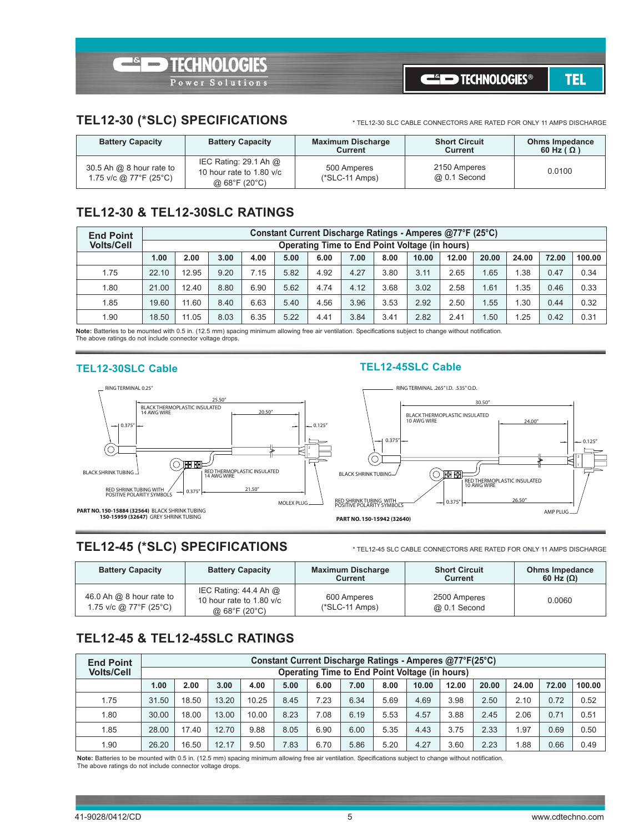#### **TEL12-30 (\*SLC) SPECIFICATIOnS**

\* TEL12-30 SLC CAbLE ConnECToRS ARE RATED FoR onLY 11 AmpS DISChARgE

| <b>Battery Capacity</b>                              | <b>Battery Capacity</b>                                                | <b>Maximum Discharge</b><br><b>Current</b> | <b>Short Circuit</b><br>Current | <b>Ohms Impedance</b><br>60 Hz ( $\Omega$ ) |
|------------------------------------------------------|------------------------------------------------------------------------|--------------------------------------------|---------------------------------|---------------------------------------------|
| 30.5 Ah $@$ 8 hour rate to<br>1.75 v/c @ 77°F (25°C) | IEC Rating: $29.1$ Ah $@$<br>10 hour rate to 1.80 v/c<br>@ 68°F (20°C) | 500 Amperes<br>$(*SLC-11 \, Amps)$         | 2150 Amperes<br>@ 0.1 Second    | 0.0100                                      |

#### **TEL12-30 & TEL12-30SLC RATIngS**

| <b>End Point</b>  | Constant Current Discharge Ratings - Amperes @77°F (25°C) |                                                |      |      |      |      |      |      |       |       |       |       |       |        |
|-------------------|-----------------------------------------------------------|------------------------------------------------|------|------|------|------|------|------|-------|-------|-------|-------|-------|--------|
| <b>Volts/Cell</b> |                                                           | Operating Time to End Point Voltage (in hours) |      |      |      |      |      |      |       |       |       |       |       |        |
|                   | 1.00                                                      | 2.00                                           | 3.00 | 4.00 | 5.00 | 6.00 | 7.00 | 8.00 | 10.00 | 12.00 | 20.00 | 24.00 | 72.00 | 100.00 |
| 1.75              | 22.10                                                     | 12.95                                          | 9.20 | 7.15 | 5.82 | 4.92 | 4.27 | 3.80 | 3.11  | 2.65  | 1.65  | .38   | 0.47  | 0.34   |
| 1.80              | 21.00                                                     | 12.40                                          | 8.80 | 6.90 | 5.62 | 4.74 | 4.12 | 3.68 | 3.02  | 2.58  | 1.61  | .35   | 0.46  | 0.33   |
| 1.85              | 19.60                                                     | 11.60                                          | 8.40 | 6.63 | 5.40 | 4.56 | 3.96 | 3.53 | 2.92  | 2.50  | 1.55  | .30   | 0.44  | 0.32   |
| 1.90              | 18.50                                                     | 11.05                                          | 8.03 | 6.35 | 5.22 | 4.41 | 3.84 | 3.41 | 2.82  | 2.41  | 1.50  | .25   | 0.42  | 0.31   |

**note:** batteries to be mounted with 0.5 in. (12.5 mm) spacing minimum allowing free air ventilation. Specifications subject to change without notification. The above ratings do not include connector voltage drops.

#### **TEL12-30SLC Cable TEL12-45SLC Cable**



#### **TEL12-45 (\*SLC) SPECIFICATIOnS**

\* TEL12-45 SLC CAbLE ConnECToRS ARE RATED FoR onLY 11 AmpS DISChARgE

| <b>Battery Capacity</b>                              | <b>Battery Capacity</b>                                                                     | <b>Maximum Discharge</b><br>Current | <b>Short Circuit</b><br>Current | <b>Ohms Impedance</b><br>60 Hz $(\Omega)$ |
|------------------------------------------------------|---------------------------------------------------------------------------------------------|-------------------------------------|---------------------------------|-------------------------------------------|
| 46.0 Ah $@$ 8 hour rate to<br>1.75 v/c @ 77°F (25°C) | IEC Rating: $44.4$ Ah $@$<br>10 hour rate to 1.80 v/c<br>@ $68^{\circ}$ F (20 $^{\circ}$ C) | 600 Amperes<br>$(*SLC-11 \, Amps)$  | 2500 Amperes<br>@ 0.1 Second    | 0.0060                                    |

### **TEL12-45 & TEL12-45SLC RATIngS**

| <b>End Point</b>  | Constant Current Discharge Ratings - Amperes @77°F(25°C) |                                                |       |       |      |      |      |      |       |       |       |       |       |        |
|-------------------|----------------------------------------------------------|------------------------------------------------|-------|-------|------|------|------|------|-------|-------|-------|-------|-------|--------|
| <b>Volts/Cell</b> |                                                          | Operating Time to End Point Voltage (in hours) |       |       |      |      |      |      |       |       |       |       |       |        |
|                   | 1.00                                                     | 2.00                                           | 3.00  | 4.00  | 5.00 | 6.00 | 7.00 | 8.00 | 10.00 | 12.00 | 20.00 | 24.00 | 72.00 | 100.00 |
| 1.75              | 31.50                                                    | 18.50                                          | 13.20 | 10.25 | 8.45 | 7.23 | 6.34 | 5.69 | 4.69  | 3.98  | 2.50  | 2.10  | 0.72  | 0.52   |
| 1.80              | 30.00                                                    | 18.00                                          | 13.00 | 10.00 | 8.23 | 7.08 | 6.19 | 5.53 | 4.57  | 3.88  | 2.45  | 2.06  | 0.71  | 0.51   |
| 1.85              | 28.00                                                    | 17.40                                          | 12.70 | 9.88  | 8.05 | 6.90 | 6.00 | 5.35 | 4.43  | 3.75  | 2.33  | .97   | 0.69  | 0.50   |
| 1.90              | 26.20                                                    | 16.50                                          | 12.17 | 9.50  | 7.83 | 6.70 | 5.86 | 5.20 | 4.27  | 3.60  | 2.23  | .88   | 0.66  | 0.49   |

Note: Batteries to be mounted with 0.5 in. (12.5 mm) spacing minimum allowing free air ventilation. Specifications subject to change without notification. The above ratings do not include connector voltage drops.